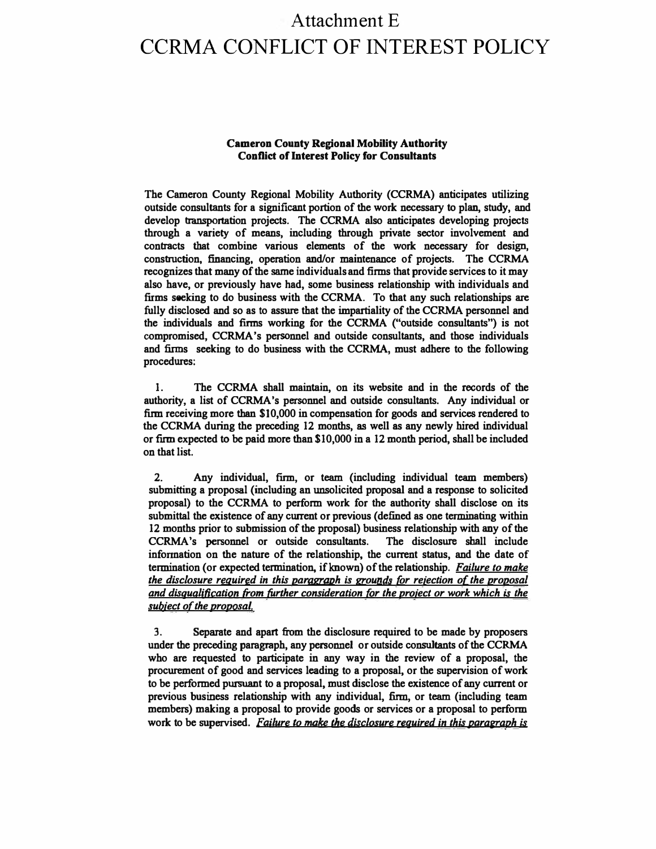# Attachment E CCRMA CONFLICT OF INTEREST POLICY

#### **Cameron County Regional Mobility Authority Conflict of Interest Policy for Consultants**

**The Cameron County Regional Mobility Authority (CCRMA) anticipates utilizing outside consultants for a significant portion of the work necessary to plan, study, and** develop transportation projects. The CCRMA also anticipates developing projects **through a variety of means, including through private sector involvement and contracts that combine various elements of the work necessary for design, construction, financing, operation and/or maintenance of projects. The CCRMA**  recognizes that many of the same individuals and firms that provide services to it may **also have, or previously have had, some business relationship with individuals and firms seeking to do business with the CCRMA. To that any such relationships are fully disclosed and so as to assure that the impartiality of the CCRMA personnel and the individuals and firms working for the CCRMA ("outside consultants") is not compromised, CCRMA's personnel and outside consultants, and those individuals and finns seeking to do business with the CCRMA, must adhere to the following procedures:** 

**1. The CCRMA shall maintain, on its website and in the records of the authority, a list of CCRMA's personnel and outside consultants. Any individual or firm receiving more than \$10,000 in compensation for goods and services rendered to the CCRMA during the preceding 12 months, as well as any newly hired individual orfirm expected to be paid more than \$10,000 in a 12 month period, shall be included on that list.** 

**2. Any individual,** firm, **or team (including individual team members) submitting a proposal (including an unsolicited proposal and a response to solicited proposal) to the CCRMA to perform work for the authority shall disclose on its submittal the existence of any current or previous ( defined as one terminating within 12 months prior to submission of the proposal) business relationship with any of the CCRMA's personnel or outside consultants. The disclosure shall include infonnation on the nature of the relationship, the current status, and the date of termination (or expected termination, if known) of the relationship.** *Failure to make the disclosure reg\_uired in this paragraph is grounds for reiection of the proposal and disqualification from further consideration for the proiect or work which* **is** *the subject of the proposal.* 

**3. Separate and apart from the disclosure required to be made by proposers under the preceding paragraph, any personnel or outside consultants of the CCRMA who are requested to participate in any way in the review of a proposal, the procurement of good and services leading to a proposal, or the supervision of work to be performed pursuant to a proposal, must disclose the existence of any current or previous business relationship with any individual,** firm, **or team (including team members) making a proposal to provide goods or services or a proposal to perform work to be supervised.** *Failure to* **make** *the disclosure reguired in this parawaph* **is**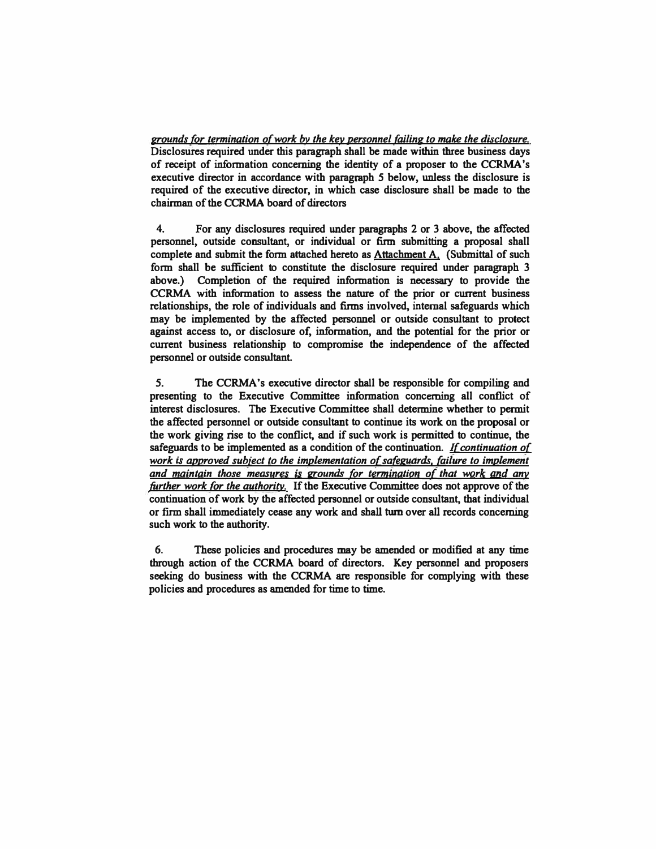*grounds for termination of work by the key personnel failing to make the disclosure.*  **Disclosures required under this paragraph shall be made within three business days of receipt of information concerning the identity of a proposer to the CCRMA's executive director in accordance with paragraph** *5* **below, unless the disclosure is required of the executive director, in which case disclosure shall be made to the chairman of the CCRMA board of directors** 

**4. For any disclosures required under paragraphs 2 or 3 above, the affected personnel, outside consultant, or individual or firm submitting a proposal shall complete and submit the form attached hereto as Attachment A. (Submittal of such form shall be sufficient to constitute the disclosure required under paragraph 3** above.) Completion of the required information is necessary to provide the **CCRMA with information to assess the nature of the prior or current business relationships, the role of individuals and firms involved, internal safeguards which may be implemented by the affected personnel or outside consultant to protect against access to, or disclosure of, information, and the potential for the prior or current business relationship to compromise the independence of the affected personnel or outside consultant.**

*5.* **The CCRMA's executive director shall be responsible for compiling and presenting to the Executive Committee information concerning all conflict of interest disclosures. The Executive Committee shall determine whether to permit the affected personnel or outside consultant to continue its work on the proposal or the work giving rise to the conflict, and if such work is permitted to continue, the safeguards to be implemented as a condition of the continuation.** *If continuation of work is approved subiect to the implementation of safeguards, failure to implement and maintain those measures is grounds for termination of that work and any further work for the authority.* **If the Executive Committee does not approve of the continuation of work by the affected personnel or outside consultant, that individual or firm shall immediately cease any work and shall turn over all records concerning such work to the authority.** 

**6. These policies and procedures may be amended or modified at any time through action of the CCRMA board of directors. Key personnel and proposers seeking do business with the CCRMA are responsible for complying with these policies and procedures as amended for time to time.**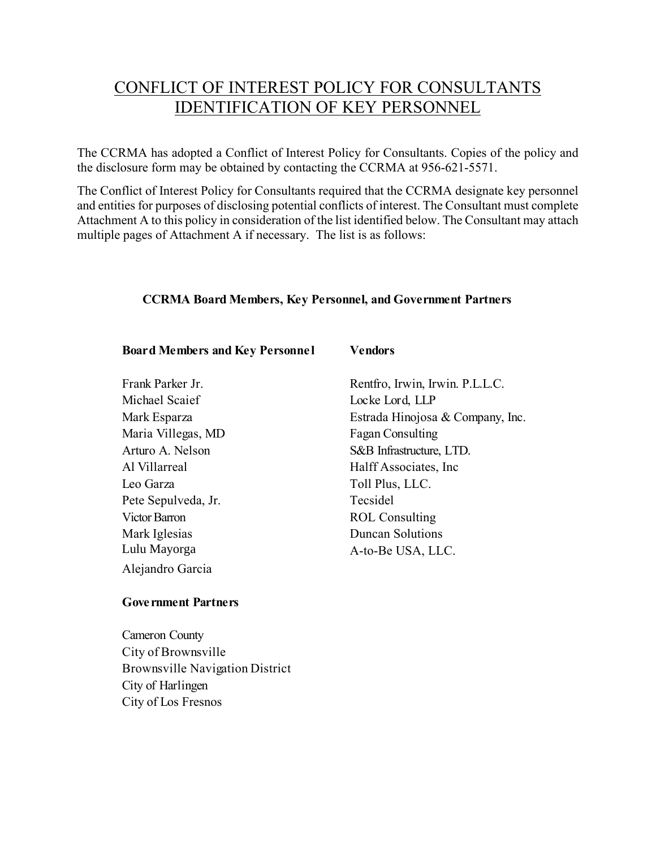## CONFLICT OF INTEREST POLICY FOR CONSULTANTS IDENTIFICATION OF KEY PERSONNEL

The CCRMA has adopted a Conflict of Interest Policy for Consultants. Copies of the policy and the disclosure form may be obtained by contacting the CCRMA at 956-621-5571.

The Conflict of Interest Policy for Consultants required that the CCRMA designate key personnel and entities for purposes of disclosing potential conflicts of interest. The Consultant must complete Attachment A to this policy in consideration of the list identified below. The Consultant may attach multiple pages of Attachment A if necessary. The list is as follows:

#### **CCRMA Board Members, Key Personnel, and Government Partners**

#### **Board Members and Key Personne l**

Frank Parker Jr. Michael Scaief Mark Esparza Maria Villegas, MD Arturo A. Nelson Al Villarreal Leo Garza Pete Sepulveda, Jr. Victor Barron Mark Iglesias Alejandro Garcia Lulu Mayorga

#### **Vendors**

Rentfro, Irwin, Irwin. P.L.L.C. Locke Lord, LLP Estrada Hinojosa & Company, Inc. Fagan Consulting S&B Infrastructure, LTD. Halff Associates, Inc Toll Plus, LLC. Tecsidel ROL Consulting Duncan Solutions A-to-Be USA, LLC.

#### **Gove rnment Partners**

Cameron County City of Brownsville Brownsville Navigation District City of Harlingen City of Los Fresnos